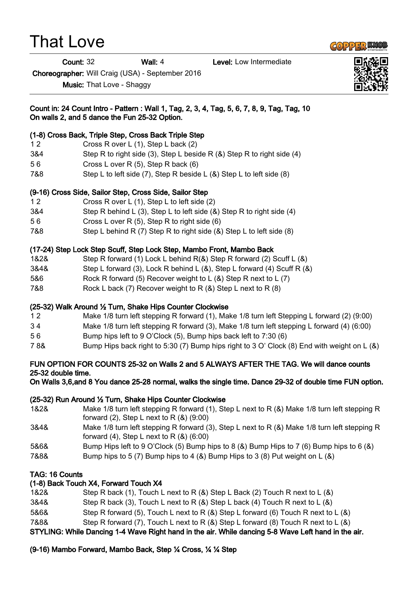# That Love

**Count: 32** Wall: 4 Level: Low Intermediate

Choreographer: Will Craig (USA) - September 2016

Music: That Love - Shaggy



#### Count in: 24 Count Intro - Pattern : Wall 1, Tag, 2, 3, 4, Tag, 5, 6, 7, 8, 9, Tag, Tag, 10 On walls 2, and 5 dance the Fun 25-32 Option.

## (1-8) Cross Back, Triple Step, Cross Back Triple Step

- 1 2 Cross R over L (1), Step L back (2)
- 3&4 Step R to right side (3), Step L beside R (&) Step R to right side (4)
- 5 6 Cross L over R (5), Step R back (6)
- 7&8 Step L to left side (7), Step R beside L (&) Step L to left side (8)

#### (9-16) Cross Side, Sailor Step, Cross Side, Sailor Step

- 1 2 Cross R over L (1), Step L to left side (2)
- 3&4 Step R behind L (3), Step L to left side (&) Step R to right side (4)
- 5 6 Cross L over R (5), Step R to right side (6)
- 7&8 Step L behind R (7) Step R to right side (&) Step L to left side (8)

## (17-24) Step Lock Step Scuff, Step Lock Step, Mambo Front, Mambo Back

- 1&2& Step R forward (1) Lock L behind R(&) Step R forward (2) Scuff L (&)
- 3&4& Step L forward (3), Lock R behind L (&), Step L forward (4) Scuff R (&)
- 5&6 Rock R forward (5) Recover weight to L (&) Step R next to L (7)
- 7&8 Rock L back (7) Recover weight to R (&) Step L next to R (8)

## (25-32) Walk Around ½ Turn, Shake Hips Counter Clockwise

- 1 2 Make 1/8 turn left stepping R forward (1), Make 1/8 turn left Stepping L forward (2) (9:00)
- 3 4 Make 1/8 turn left stepping R forward (3), Make 1/8 turn left stepping L forward (4) (6:00)
- 5 6 Bump hips left to 9 O'Clock (5), Bump hips back left to 7:30 (6)
- 7 8& Bump Hips back right to 5:30 (7) Bump hips right to 3 O' Clock (8) End with weight on L (&)

#### FUN OPTION FOR COUNTS 25-32 on Walls 2 and 5 ALWAYS AFTER THE TAG. We will dance counts 25-32 double time.

On Walls 3,6,and 8 You dance 25-28 normal, walks the single time. Dance 29-32 of double time FUN option.

## (25-32) Run Around ½ Turn, Shake Hips Counter Clockwise

- 1&2& Make 1/8 turn left stepping R forward (1), Step L next to R (&) Make 1/8 turn left stepping R forward  $(2)$ , Step L next to R $(8)$   $(9:00)$
- 3&4& Make 1/8 turn left stepping R forward (3), Step L next to R (&) Make 1/8 turn left stepping R forward  $(4)$ , Step L next to R $(8)$   $(6:00)$
- 5&6& Bump Hips left to 9 O'Clock (5) Bump hips to 8 (&) Bump Hips to 7 (6) Bump hips to 6 (&)
- 7&8& Bump hips to 5 (7) Bump hips to 4 (&) Bump Hips to 3 (8) Put weight on L (&)

## TAG: 16 Counts

#### (1-8) Back Touch X4, Forward Touch X4

- 1&2& Step R back (1), Touch L next to R (&) Step L Back (2) Touch R next to L (&)
- 3&4& Step R back (3), Touch L next to R (&) Step L back (4) Touch R next to L (&)
- 5&6& Step R forward (5), Touch L next to R (&) Step L forward (6) Touch R next to L (&)
- 7&8& Step R forward (7), Touch L next to R (&) Step L forward (8) Touch R next to L (&)

STYLING: While Dancing 1-4 Wave Right hand in the air. While dancing 5-8 Wave Left hand in the air.

## (9-16) Mambo Forward, Mambo Back, Step ¼ Cross, ¼ ¼ Step